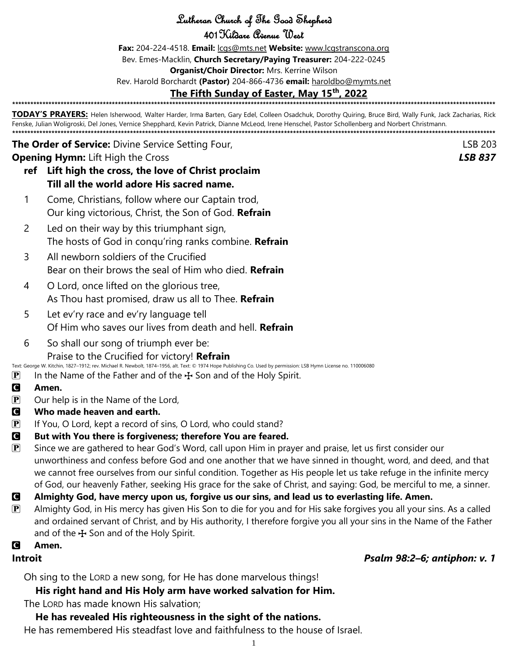Lutheran Church of The Good Shepherd

401Kildare Avenue West

**Fax:** 204-224-4518. **Email:** [lcgs@mts.net](mailto:lcgs@mts.net) **Website:** [www.lcgstranscona.org](http://www.lcgstranscona.org/)

Bev. Emes-Macklin, **Church Secretary/Paying Treasurer:** 204-222-0245

**Organist/Choir Director:** Mrs. Kerrine Wilson

Rev. Harold Borchardt **(Pastor)** 204-866-4736 **email:** [haroldbo@mymts.net](mailto:haroldbo@mymts.net)

#### **The Fifth Sunday of Easter, May 15th, 2022 \*\*\*\*\*\*\*\*\*\*\*\*\*\*\*\*\*\*\*\*\*\*\*\*\*\*\*\*\*\*\*\*\*\*\*\*\*\*\*\*\*\*\*\*\*\*\*\*\*\*\*\*\*\*\*\*\*\*\*\*\*\*\*\*\*\*\*\*\*\*\*\*\*\*\*\*\*\*\*\*\*\*\*\*\*\*\*\*\*\*\*\*\*\*\*\*\*\*\*\*\*\*\*\*\*\*\*\*\*\*\*\*\*\*\*\*\*\*\*\*\*\*\*\*\*\*\*\*\*\*\*\*\*\*\*\*\*\*\*\*\*\*\*\*\*\*\*\*\*\*\*\*\*\*\*\*\*\*\*\***

**TODAY'S PRAYERS:** Helen Isherwood, Walter Harder, Irma Barten, Gary Edel, Colleen Osadchuk, Dorothy Quiring, Bruce Bird, Wally Funk, Jack Zacharias, Rick Fenske, Julian Woligroski, Del Jones, Vernice Shepphard, Kevin Patrick, Dianne McLeod, Irene Henschel, Pastor Schollenberg and Norbert Christmann. **\*\*\*\*\*\*\*\*\*\*\*\*\*\*\*\*\*\*\*\*\*\*\*\*\*\*\*\*\*\*\*\*\*\*\*\*\*\*\*\*\*\*\*\*\*\*\*\*\*\*\*\*\*\*\*\*\*\*\*\*\*\*\*\*\*\*\*\*\*\*\*\*\*\*\*\*\*\*\*\*\*\*\*\*\*\*\*\*\*\*\*\*\*\*\*\*\*\*\*\*\*\*\*\*\*\*\*\*\*\*\*\*\*\*\*\*\*\*\*\*\*\*\*\*\*\*\*\*\*\*\*\*\*\*\*\*\*\*\*\*\*\*\*\*\*\*\*\*\*\*\*\*\*\*\*\*\*\*\*\***

**The Order of Service:** Divine Service Setting Four, the contract of the contract of the contract of the contract of the contract of the contract of the contract of the contract of the contract of the contract of the contr **Opening Hymn:** Lift High the Cross *LSB 837*

- **ref Lift high the cross, the love of Christ proclaim Till all the world adore His sacred name.**
- 1 Come, Christians, follow where our Captain trod, Our king victorious, Christ, the Son of God. **Refrain**
- 2 Led on their way by this triumphant sign, The hosts of God in conqu'ring ranks combine. **Refrain**
- 3 All newborn soldiers of the Crucified Bear on their brows the seal of Him who died. **Refrain**
- 4 O Lord, once lifted on the glorious tree, As Thou hast promised, draw us all to Thee. **Refrain**
- 5 Let ev'ry race and ev'ry language tell Of Him who saves our lives from death and hell. **Refrain**
- 6 So shall our song of triumph ever be: Praise to the Crucified for victory! **Refrain**
- Text: George W. Kitchin, 1827–1912; rev. Michael R. Newbolt, 1874–1956, alt. Text: © 1974 Hope Publishing Co. Used by permission: LSB Hymn License no. 110006080
- **P** In the Name of the Father and of the  $\bigoplus$  Son and of the Holy Spirit.
- C **Amen.**
- $\mathbf{P}$  Our help is in the Name of the Lord,
- C **Who made heaven and earth.**
- $\mathbf{P}$  If You, O Lord, kept a record of sins, O Lord, who could stand?

#### C **But with You there is forgiveness; therefore You are feared.**

- $\mathbf{P}$  Since we are gathered to hear God's Word, call upon Him in prayer and praise, let us first consider our unworthiness and confess before God and one another that we have sinned in thought, word, and deed, and that we cannot free ourselves from our sinful condition. Together as His people let us take refuge in the infinite mercy of God, our heavenly Father, seeking His grace for the sake of Christ, and saying: God, be merciful to me, a sinner.
- C **Almighty God, have mercy upon us, forgive us our sins, and lead us to everlasting life. Amen.**
- $\mathbf{P}$  Almighty God, in His mercy has given His Son to die for you and for His sake forgives you all your sins. As a called and ordained servant of Christ, and by His authority, I therefore forgive you all your sins in the Name of the Father and of the  $\bigstar$  Son and of the Holy Spirit.

#### C **Amen.**

**Introit** *Psalm 98:2–6; antiphon: v. 1*

Oh sing to the LORD a new song, for He has done marvelous things!

## **His right hand and His Holy arm have worked salvation for Him.**

The LORD has made known His salvation;

#### **He has revealed His righteousness in the sight of the nations.**

He has remembered His steadfast love and faithfulness to the house of Israel.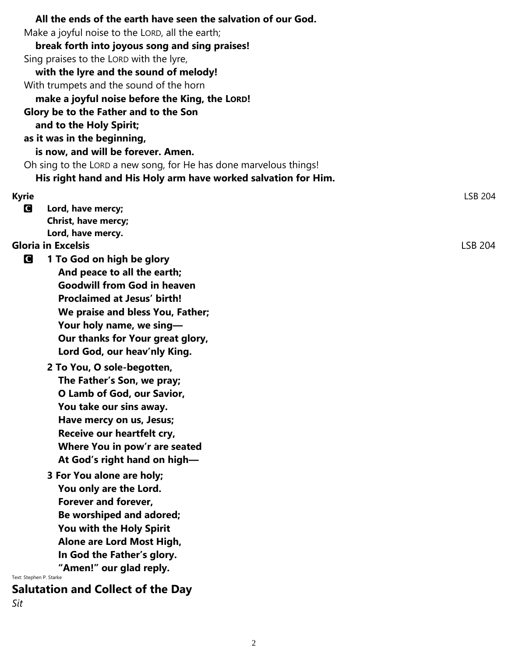| All the ends of the earth have seen the salvation of our God.       |         |
|---------------------------------------------------------------------|---------|
| Make a joyful noise to the LORD, all the earth;                     |         |
| break forth into joyous song and sing praises!                      |         |
| Sing praises to the LORD with the lyre,                             |         |
| with the lyre and the sound of melody!                              |         |
| With trumpets and the sound of the horn                             |         |
| make a joyful noise before the King, the LORD!                      |         |
| Glory be to the Father and to the Son                               |         |
| and to the Holy Spirit;                                             |         |
| as it was in the beginning,                                         |         |
| is now, and will be forever. Amen.                                  |         |
| Oh sing to the LORD a new song, for He has done marvelous things!   |         |
| His right hand and His Holy arm have worked salvation for Him.      |         |
| <b>Kyrie</b>                                                        | LSB 204 |
| Lord, have mercy;<br>G                                              |         |
| Christ, have mercy;                                                 |         |
| Lord, have mercy.                                                   |         |
| <b>Gloria in Excelsis</b>                                           | LSB 204 |
| G<br>1 To God on high be glory                                      |         |
| And peace to all the earth;                                         |         |
| <b>Goodwill from God in heaven</b>                                  |         |
| <b>Proclaimed at Jesus' birth!</b>                                  |         |
| We praise and bless You, Father;                                    |         |
| Your holy name, we sing-                                            |         |
| Our thanks for Your great glory,                                    |         |
| Lord God, our heav'nly King.                                        |         |
| 2 To You, O sole-begotten,                                          |         |
| The Father's Son, we pray;                                          |         |
| O Lamb of God, our Savior,                                          |         |
| You take our sins away.                                             |         |
| Have mercy on us, Jesus;                                            |         |
| Receive our heartfelt cry,                                          |         |
| Where You in pow'r are seated                                       |         |
| At God's right hand on high-                                        |         |
| 3 For You alone are holy;                                           |         |
| You only are the Lord.                                              |         |
| Forever and forever,                                                |         |
| Be worshiped and adored;                                            |         |
| You with the Holy Spirit                                            |         |
| Alone are Lord Most High,                                           |         |
| In God the Father's glory.                                          |         |
| "Amen!" our glad reply.                                             |         |
| Text: Stephen P. Starke<br><b>Salutation and Collect of the Day</b> |         |
| Sit                                                                 |         |
|                                                                     |         |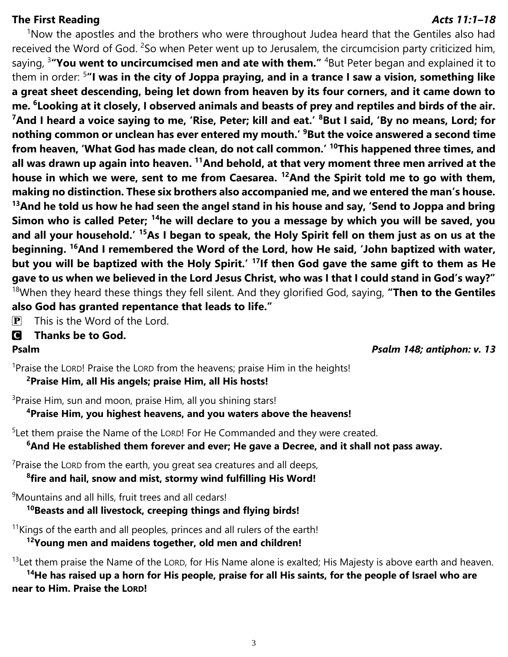#### **The First Reading** *Acts 11:1–18*

 $1$ Now the apostles and the brothers who were throughout Judea heard that the Gentiles also had received the Word of God. <sup>2</sup>So when Peter went up to Jerusalem, the circumcision party criticized him, saying, <sup>3</sup> **You went to uncircumcised men and ate with them."** <sup>4</sup>But Peter began and explained it to them in order: <sup>5</sup> **"I was in the city of Joppa praying, and in a trance I saw a vision, something like a great sheet descending, being let down from heaven by its four corners, and it came down to me. <sup>6</sup> Looking at it closely, I observed animals and beasts of prey and reptiles and birds of the air.**  <sup>7</sup>And I heard a voice saying to me, 'Rise, Peter; kill and eat.' <sup>8</sup>But I said, 'By no means, Lord; for **nothing common or unclean has ever entered my mouth.' <sup>9</sup>But the voice answered a second time from heaven, 'What God has made clean, do not call common.' <sup>10</sup>This happened three times, and all was drawn up again into heaven. <sup>11</sup>And behold, at that very moment three men arrived at the house in which we were, sent to me from Caesarea. <sup>12</sup>And the Spirit told me to go with them, making no distinction. These six brothers also accompanied me, and we entered the man's house. <sup>13</sup>And he told us how he had seen the angel stand in his house and say, 'Send to Joppa and bring Simon who is called Peter; <sup>14</sup>he will declare to you a message by which you will be saved, you and all your household.' <sup>15</sup>As I began to speak, the Holy Spirit fell on them just as on us at the beginning. <sup>16</sup>And I remembered the Word of the Lord, how He said, 'John baptized with water, but you will be baptized with the Holy Spirit.' <sup>17</sup>If then God gave the same gift to them as He gave to us when we believed in the Lord Jesus Christ, who was I that I could stand in God's way?"** <sup>18</sup>When they heard these things they fell silent. And they glorified God, saying, **"Then to the Gentiles also God has granted repentance that leads to life."**

 $\overline{P}$  This is the Word of the Lord.

#### C **Thanks be to God.**

**Psalm** *Psalm 148; antiphon: v. 13*

<sup>1</sup>Praise the LORD! Praise the LORD from the heavens; praise Him in the heights! **<sup>2</sup>Praise Him, all His angels; praise Him, all His hosts!**

<sup>3</sup>Praise Him, sun and moon, praise Him, all you shining stars!

#### **<sup>4</sup>Praise Him, you highest heavens, and you waters above the heavens!**

<sup>5</sup> Let them praise the Name of the LORD! For He Commanded and they were created.

**<sup>6</sup>And He established them forever and ever; He gave a Decree, and it shall not pass away.**

 $7$ Praise the LORD from the earth, you great sea creatures and all deeps,

 **8 fire and hail, snow and mist, stormy wind fulfilling His Word!**

<sup>9</sup>Mountains and all hills, fruit trees and all cedars!

**<sup>10</sup>Beasts and all livestock, creeping things and flying birds!**

 $11$ Kings of the earth and all peoples, princes and all rulers of the earth!

**<sup>12</sup>Young men and maidens together, old men and children!**

 $13$ Let them praise the Name of the LORD, for His Name alone is exalted; His Majesty is above earth and heaven. **<sup>14</sup>He has raised up a horn for His people, praise for all His saints, for the people of Israel who are near to Him. Praise the LORD!**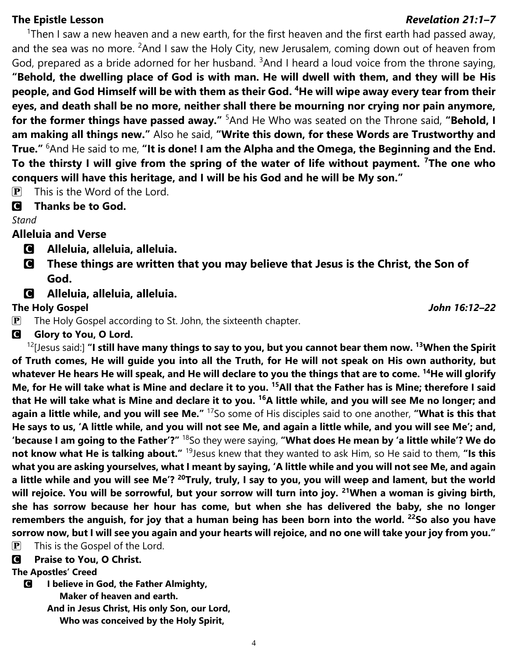### **The Epistle Lesson** *Revelation 21:1–7*

<sup>1</sup>Then I saw a new heaven and a new earth, for the first heaven and the first earth had passed away, and the sea was no more. <sup>2</sup>And I saw the Holy City, new Jerusalem, coming down out of heaven from God, prepared as a bride adorned for her husband.  $3$ And I heard a loud voice from the throne saying, **"Behold, the dwelling place of God is with man. He will dwell with them, and they will be His people, and God Himself will be with them as their God. <sup>4</sup>He will wipe away every tear from their eyes, and death shall be no more, neither shall there be mourning nor crying nor pain anymore, for the former things have passed away."** <sup>5</sup>And He Who was seated on the Throne said, "Behold, I **am making all things new."** Also he said, **"Write this down, for these Words are Trustworthy and True."** <sup>6</sup>And He said to me, **"It is done! I am the Alpha and the Omega, the Beginning and the End. To the thirsty I will give from the spring of the water of life without payment. <sup>7</sup>The one who conquers will have this heritage, and I will be his God and he will be My son."**

 $\overline{P}$  This is the Word of the Lord.

### C **Thanks be to God.**

### *Stand*

## **Alleluia and Verse**

- C **Alleluia, alleluia, alleluia.**
- C **These things are written that you may believe that Jesus is the Christ, the Son of God.**
- C **Alleluia, alleluia, alleluia.**

#### **The Holy Gospel** *John 16:12–22*

- $\mathbf{P}$  The Holy Gospel according to St. John, the sixteenth chapter.
- **G** Glory to You, O Lord.

<sup>12</sup>[Jesus said:] **"I still have many things to say to you, but you cannot bear them now. <sup>13</sup>When the Spirit of Truth comes, He will guide you into all the Truth, for He will not speak on His own authority, but whatever He hears He will speak, and He will declare to you the things that are to come. <sup>14</sup>He will glorify Me, for He will take what is Mine and declare it to you. <sup>15</sup>All that the Father has is Mine; therefore I said that He will take what is Mine and declare it to you. <sup>16</sup>A little while, and you will see Me no longer; and again a little while, and you will see Me."** <sup>17</sup>So some of His disciples said to one another, **"What is this that He says to us, 'A little while, and you will not see Me, and again a little while, and you will see Me'; and, 'because I am going to the Father'?"** <sup>18</sup>So they were saying, **"What does He mean by 'a little while'? We do not know what He is talking about."** <sup>19</sup> Jesus knew that they wanted to ask Him, so He said to them, "Is this **what you are asking yourselves, what I meant by saying, 'A little while and you will not see Me, and again a little while and you will see Me'? <sup>20</sup>Truly, truly, I say to you, you will weep and lament, but the world will rejoice. You will be sorrowful, but your sorrow will turn into joy. <sup>21</sup>When a woman is giving birth, she has sorrow because her hour has come, but when she has delivered the baby, she no longer remembers the anguish, for joy that a human being has been born into the world. <sup>22</sup>So also you have sorrow now, but I will see you again and your hearts will rejoice, and no one will take your joy from you."**  $\mathbf{P}$  This is the Gospel of the Lord.

C **Praise to You, O Christ.**

#### **The Apostles' Creed**

C **I believe in God, the Father Almighty,**

 **Maker of heaven and earth.**

**And in Jesus Christ, His only Son, our Lord,**

 **Who was conceived by the Holy Spirit,**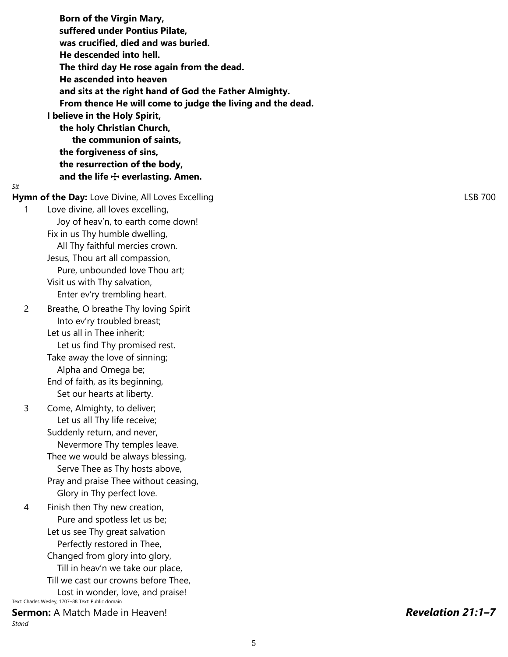**Born of the Virgin Mary, suffered under Pontius Pilate, was crucified, died and was buried. He descended into hell. The third day He rose again from the dead. He ascended into heaven and sits at the right hand of God the Father Almighty. From thence He will come to judge the living and the dead. I believe in the Holy Spirit, the holy Christian Church, the communion of saints, the forgiveness of sins, the resurrection of the body, and the life** T **everlasting. Amen.** *Sit* **Hymn of the Day:** Love Divine, All Loves Excelling Lateration Control Control Control CSB 700 1 Love divine, all loves excelling, Joy of heav'n, to earth come down! Fix in us Thy humble dwelling, All Thy faithful mercies crown. Jesus, Thou art all compassion, Pure, unbounded love Thou art; Visit us with Thy salvation, Enter ev'ry trembling heart. 2 Breathe, O breathe Thy loving Spirit Into ev'ry troubled breast; Let us all in Thee inherit; Let us find Thy promised rest. Take away the love of sinning; Alpha and Omega be; End of faith, as its beginning, Set our hearts at liberty. 3 Come, Almighty, to deliver; Let us all Thy life receive; Suddenly return, and never, Nevermore Thy temples leave. Thee we would be always blessing, Serve Thee as Thy hosts above, Pray and praise Thee without ceasing, Glory in Thy perfect love. 4 Finish then Thy new creation, Pure and spotless let us be; Let us see Thy great salvation Perfectly restored in Thee, Changed from glory into glory, Till in heav'n we take our place, Till we cast our crowns before Thee, Lost in wonder, love, and praise! Text: Charles Wesley, 1707–88 Text: Public domain **Sermon:** A Match Made in Heaven! *Revelation 21:1–7 Stand*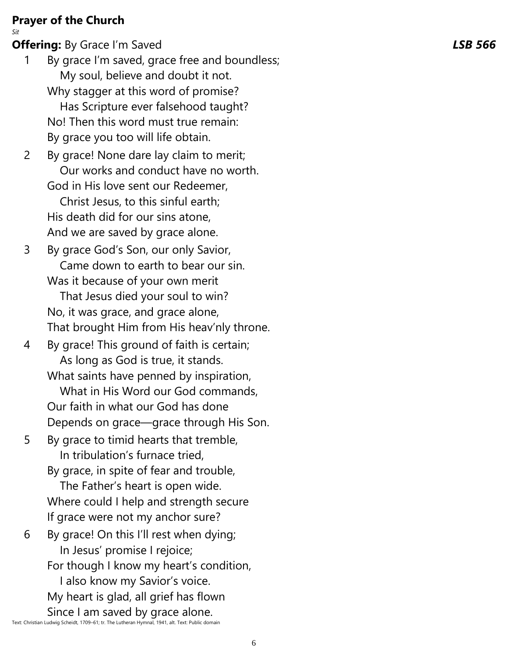## **Prayer of the Church**

*Sit*

**Offering :** By Grace I'm Saved *LSB 566*

- 1 By grace I'm saved, grace free and boundless; My soul, believe and doubt it not. Why stagger at this word of promise? Has Scripture ever falsehood taught? No! Then this word must true remain: By grace you too will life obtain.
- 2 By grace! None dare lay claim to merit; Our works and conduct have no worth. God in His love sent our Redeemer, Christ Jesus, to this sinful earth; His death did for our sins atone,

And we are saved by grace alone.

- 3 By grace God's Son, our only Savior, Came down to earth to bear our sin. Was it because of your own merit That Jesus died your soul to win? No, it was grace, and grace alone, That brought Him from His heav'nly throne.
- 4 By grace! This ground of faith is certain; As long as God is true, it stands. What saints have penned by inspiration, What in His Word our God commands, Our faith in what our God has done Depends on grace —grace through His Son.
- 5 By grace to timid hearts that tremble, In tribulation's furnace tried,

By grace, in spite of fear and trouble,

 The Father's heart is open wide. Where could I help and strength secure If grace were not my anchor sure?

6 By grace! On this I'll rest when dying; In Jesus' promise I rejoice; For though I know my heart's condition, I also know my Savior's voice. My heart is glad, all grief has flown Since I am saved by grace alone.

Text: Christian Ludwig Scheidt, 1709 –61; tr. The Lutheran Hymnal, 1941, alt. Text: Public domain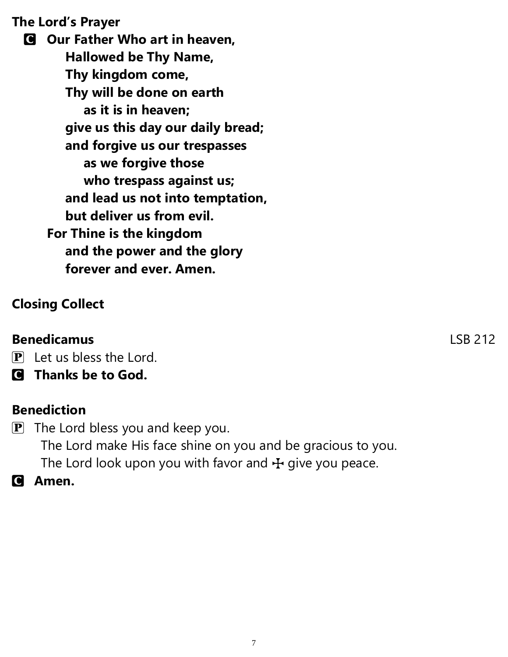**The Lord's Prayer**

C **Our Father Who art in heaven, Hallowed be Thy Name, Thy kingdom come, Thy will be done on earth as it is in heaven; give us this day our daily bread; and forgive us our trespasses as we forgive those who trespass against us; and lead us not into temptation, but deliver us from evil. For Thine is the kingdom and the power and the glory forever and ever. Amen.**

# **Closing Collect**

## **Benedicamus** LSB 212

 $\overline{P}$  Let us bless the Lord.

C **Thanks be to God.**

## **Benediction**

 $\mathbf{P}$  The Lord bless you and keep you. The Lord make His face shine on you and be gracious to you. The Lord look upon you with favor and  $H$  give you peace.

C **Amen.**